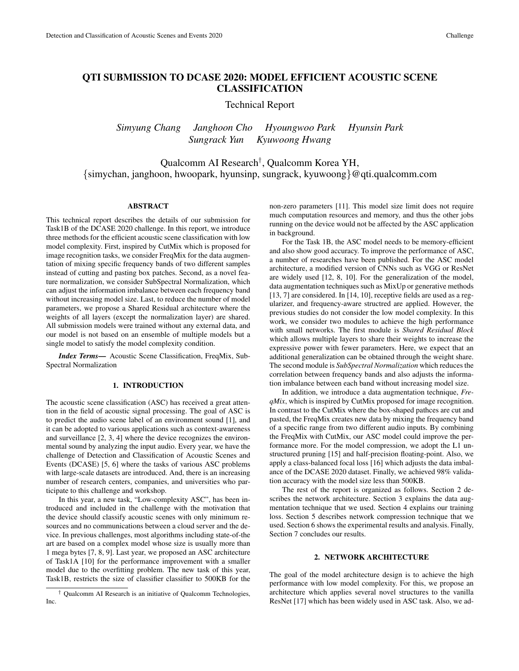# QTI SUBMISSION TO DCASE 2020: MODEL EFFICIENT ACOUSTIC SCENE CLASSIFICATION

Technical Report

*Simyung Chang Janghoon Cho Hyoungwoo Park Hyunsin Park Sungrack Yun Kyuwoong Hwang*

Qualcomm AI Research† , Qualcomm Korea YH, {simychan, janghoon, hwoopark, hyunsinp, sungrack, kyuwoong}@qti.qualcomm.com

## ABSTRACT

This technical report describes the details of our submission for Task1B of the DCASE 2020 challenge. In this report, we introduce three methods for the efficient acoustic scene classification with low model complexity. First, inspired by CutMix which is proposed for image recognition tasks, we consider FreqMix for the data augmentation of mixing specific frequency bands of two different samples instead of cutting and pasting box patches. Second, as a novel feature normalization, we consider SubSpectral Normalization, which can adjust the information imbalance between each frequency band without increasing model size. Last, to reduce the number of model parameters, we propose a Shared Residual architecture where the weights of all layers (except the normalization layer) are shared. All submission models were trained without any external data, and our model is not based on an ensemble of multiple models but a single model to satisfy the model complexity condition.

*Index Terms*— Acoustic Scene Classification, FreqMix, Sub-Spectral Normalization

## 1. INTRODUCTION

The acoustic scene classification (ASC) has received a great attention in the field of acoustic signal processing. The goal of ASC is to predict the audio scene label of an environment sound [1], and it can be adopted to various applications such as context-awareness and surveillance [2, 3, 4] where the device recognizes the environmental sound by analyzing the input audio. Every year, we have the challenge of Detection and Classification of Acoustic Scenes and Events (DCASE) [5, 6] where the tasks of various ASC problems with large-scale datasets are introduced. And, there is an increasing number of research centers, companies, and universities who participate to this challenge and workshop.

In this year, a new task, "Low-complexity ASC", has been introduced and included in the challenge with the motivation that the device should classify acoustic scenes with only minimum resources and no communications between a cloud server and the device. In previous challenges, most algorithms including state-of-the art are based on a complex model whose size is usually more than 1 mega bytes [7, 8, 9]. Last year, we proposed an ASC architecture of Task1A [10] for the performance improvement with a smaller model due to the overfitting problem. The new task of this year, Task1B, restricts the size of classifier classifier to 500KB for the non-zero parameters [11]. This model size limit does not require much computation resources and memory, and thus the other jobs running on the device would not be affected by the ASC application in background.

For the Task 1B, the ASC model needs to be memory-efficient and also show good accuracy. To improve the performance of ASC, a number of researches have been published. For the ASC model architecture, a modified version of CNNs such as VGG or ResNet are widely used [12, 8, 10]. For the generalization of the model, data augmentation techniques such as MixUp or generative methods [13, 7] are considered. In [14, 10], receptive fields are used as a regularizer, and frequency-aware structred are applied. However, the previous studies do not consider the low model complexity. In this work, we consider two modules to achieve the high performance with small networks. The first module is *Shared Residual Block* which allows multiple layers to share their weights to increase the expressive power with fewer parameters. Here, we expect that an additional generalization can be obtained through the weight share. The second module is *SubSpectral Normalization* which reduces the correlation between frequency bands and also adjusts the information imbalance between each band without increasing model size.

In addition, we introduce a data augmentation technique, *FreqMix*, which is inspired by CutMix proposed for image recognition. In contrast to the CutMix where the box-shaped pathces are cut and pasted, the FreqMix creates new data by mixing the frequency band of a specific range from two different audio inputs. By combining the FreqMix with CutMix, our ASC model could improve the performance more. For the model compression, we adopt the L1 unstructured pruning [15] and half-precision floating-point. Also, we apply a class-balanced focal loss [16] which adjusts the data imbalance of the DCASE 2020 dataset. Finally, we achieved 98% validation accuracy with the model size less than 500KB.

The rest of the report is organized as follows. Section 2 describes the network architecture. Section 3 explains the data augmentation technique that we used. Section 4 explains our training loss. Section 5 describes network compression technique that we used. Section 6 shows the experimental results and analysis. Finally, Section 7 concludes our results.

## 2. NETWORK ARCHITECTURE

The goal of the model architecture design is to achieve the high performance with low model complexity. For this, we propose an architecture which applies several novel structures to the vanilla ResNet [17] which has been widely used in ASC task. Also, we ad-

<sup>†</sup> Qualcomm AI Research is an initiative of Qualcomm Technologies, Inc.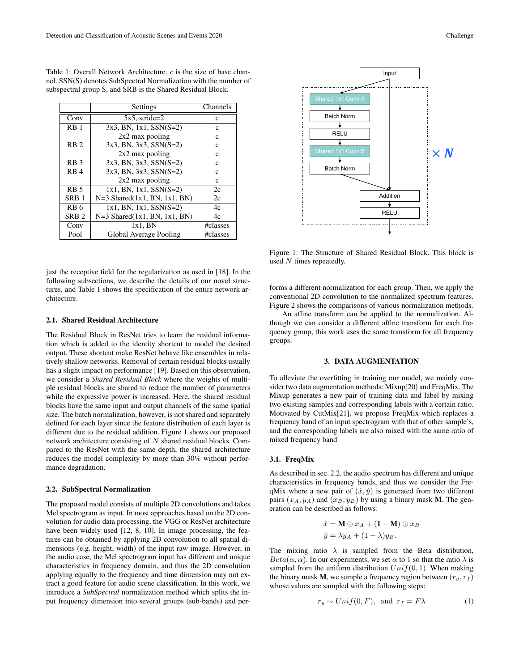|                  | Settings                          | Channels |
|------------------|-----------------------------------|----------|
| Conv             | $5x5.$ stride=2                   | c        |
| RB <sub>1</sub>  | $3x3$ , BN, 1x1, SSN(S=2)         | c        |
|                  | $2x2$ max pooling                 | c        |
| RB <sub>2</sub>  | $3x3$ , BN, $3x3$ , SSN(S=2)      | c        |
|                  | $2x2$ max pooling                 | c        |
| R <sub>B</sub> 3 | $3x3$ , BN, $3x3$ , SSN(S=2)      | C        |
| R <sub>B</sub> 4 | $3x3$ , BN, $3x3$ , SSN(S=2)      | c        |
|                  | $2x2$ max pooling                 | c        |
| R <sub>B</sub> 5 | $1x1$ , BN, $1x1$ , SSN(S=2)      | 2c       |
| SRB <sub>1</sub> | $N=3$ Shared $(1x1, BN, 1x1, BN)$ | 2c       |
| RB <sub>6</sub>  | $1x1$ , BN, $1x1$ , SSN(S=2)      | 4c       |
| SRB <sub>2</sub> | $N=3$ Shared $(1x1, BN, 1x1, BN)$ | 4c       |
| Conv             | $1x1$ . BN                        | #classes |
| Pool             | Global Average Pooling            | #classes |

Table 1: Overall Network Architecture. c is the size of base channel. SSN(S) denotes SubSpectral Normalization with the number of subspectral group S, and SRB is the Shared Residual Block.

just the receptive field for the regularization as used in [18]. In the following subsections, we describe the details of our novel structures, and Table 1 shows the specification of the entire network architecture.

## 2.1. Shared Residual Architecture

The Residual Block in ResNet tries to learn the residual information which is added to the identity shortcut to model the desired output. These shortcut make ResNet behave like ensembles in relatively shallow networks. Removal of certain residual blocks usually has a slight impact on performance [19]. Based on this observation, we consider a *Shared Residual Block* where the weights of multiple residual blocks are shared to reduce the number of parameters while the expressive power is increased. Here, the shared residual blocks have the same input and output channels of the same spatial size. The batch normalization, however, is not shared and separately defined for each layer since the feature distribution of each layer is different due to the residual addition. Figure 1 shows our proposed network architecture consisting of N shared residual blocks. Compared to the ResNet with the same depth, the shared architecture reduces the model complexity by more than 30% without performance degradation.

### 2.2. SubSpectral Normalization

The proposed model consists of multiple 2D convolutions and takes Mel spectrogram as input. In most approaches based on the 2D convolution for audio data processing, the VGG or ResNet architecture have been widely used [12, 8, 10]. In image processing, the features can be obtained by applying 2D convolution to all spatial dimensions (e.g. height, width) of the input raw image. However, in the audio case, the Mel spectrogram input has different and unique characteristics in frequency domain, and thus the 2D convolution applying equally to the frequency and time dimension may not extract a good feature for audio scene classification. In this work, we introduce a *SubSpectral* normalization method which splits the input frequency dimension into several groups (sub-bands) and per-



Figure 1: The Structure of Shared Residual Block. This block is used  $N$  times repeatedly.

forms a different normalization for each group. Then, we apply the conventional 2D convolution to the normalized spectrum features. Figure 2 shows the comparisons of various normalization methods.

An affine transform can be applied to the normalization. Although we can consider a different affine transform for each frequency group, this work uses the same transform for all frequency groups.

## 3. DATA AUGMENTATION

To alleviate the overfitting in training our model, we mainly consider two data augmentation methods: Mixup[20] and FreqMix. The Mixup generates a new pair of training data and label by mixing two existing samples and corresponding labels with a certain ratio. Motivated by CutMix[21], we propose FreqMix which replaces a frequency band of an input spectrogram with that of other sample's, and the corresponding labels are also mixed with the same ratio of mixed frequency band

## 3.1. FreqMix

As described in sec. 2.2, the audio spectrum has different and unique characteristics in frequency bands, and thus we consider the FreqMix where a new pair of  $(\hat{x}, \hat{y})$  is generated from two different pairs  $(x_A, y_A)$  and  $(x_B, y_B)$  by using a binary mask M. The generation can be described as follows:

$$
\hat{x} = \mathbf{M} \odot x_A + (\mathbf{1} - \mathbf{M}) \odot x_B
$$

$$
\hat{y} = \lambda y_A + (1 - \lambda) y_B.
$$

The mixing ratio  $\lambda$  is sampled from the Beta distribution,  $Beta(\alpha, \alpha)$ . In our experiments, we set  $\alpha$  to 1 so that the ratio  $\lambda$  is sampled from the uniform distribution  $Unif(0, 1)$ . When making the binary mask **M**, we sample a frequency region between  $(r_y, r_f)$ whose values are sampled with the following steps:

$$
r_y \sim Unif(0, F), \text{ and } r_f = F\lambda \tag{1}
$$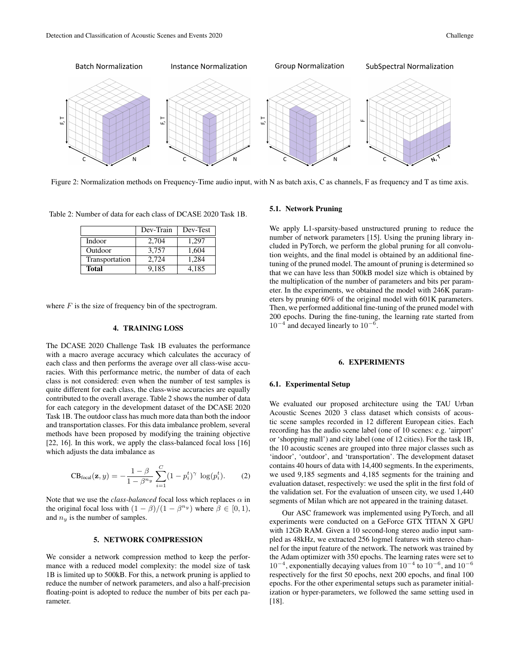

Figure 2: Normalization methods on Frequency-Time audio input, with N as batch axis, C as channels, F as frequency and T as time axis.

Table 2: Number of data for each class of DCASE 2020 Task 1B.

|                | Dev-Train | Dev-Test |
|----------------|-----------|----------|
| Indoor         | 2,704     | 1.297    |
| Outdoor        | 3.757     | 1,604    |
| Transportation | 2.724     | 1,284    |
| Total          | 9.185     | 4.185    |

where  $F$  is the size of frequency bin of the spectrogram.

#### 4. TRAINING LOSS

The DCASE 2020 Challenge Task 1B evaluates the performance with a macro average accuracy which calculates the accuracy of each class and then performs the average over all class-wise accuracies. With this performance metric, the number of data of each class is not considered: even when the number of test samples is quite different for each class, the class-wise accuracies are equally contributed to the overall average. Table 2 shows the number of data for each category in the development dataset of the DCASE 2020 Task 1B. The outdoor class has much more data than both the indoor and transportation classes. For this data imbalance problem, several methods have been proposed by modifying the training objective [22, 16]. In this work, we apply the class-balanced focal loss [16] which adjusts the data imbalance as

$$
CB_{\text{focal}}(\mathbf{z}, y) = -\frac{1-\beta}{1-\beta^{n_y}} \sum_{i=1}^{C} (1-p_i^t)^{\gamma} \log(p_i^t).
$$
 (2)

Note that we use the *class-balanced* focal loss which replaces  $\alpha$  in the original focal loss with  $(1 - \beta)/(1 - \beta^{n_y})$  where  $\beta \in [0, 1)$ , and  $n_y$  is the number of samples.

## 5. NETWORK COMPRESSION

We consider a network compression method to keep the performance with a reduced model complexity: the model size of task 1B is limited up to 500kB. For this, a network pruning is applied to reduce the number of network parameters, and also a half-precision floating-point is adopted to reduce the number of bits per each parameter.

### 5.1. Network Pruning

We apply L1-sparsity-based unstructured pruning to reduce the number of network parameters [15]. Using the pruning library included in PyTorch, we perform the global pruning for all convolution weights, and the final model is obtained by an additional finetuning of the pruned model. The amount of pruning is determined so that we can have less than 500kB model size which is obtained by the multiplication of the number of parameters and bits per parameter. In the experiments, we obtained the model with 246K parameters by pruning 60% of the original model with 601K parameters. Then, we performed additional fine-tuning of the pruned model with 200 epochs. During the fine-tuning, the learning rate started from  $10^{-4}$  and decayed linearly to  $10^{-6}$ .

### 6. EXPERIMENTS

## 6.1. Experimental Setup

We evaluated our proposed architecture using the TAU Urban Acoustic Scenes 2020 3 class dataset which consists of acoustic scene samples recorded in 12 different European cities. Each recording has the audio scene label (one of 10 scenes: e.g. 'airport' or 'shopping mall') and city label (one of 12 cities). For the task 1B, the 10 acoustic scenes are grouped into three major classes such as 'indoor', 'outdoor', and 'transportation'. The development dataset contains 40 hours of data with 14,400 segments. In the experiments, we used 9,185 segments and 4,185 segments for the training and evaluation dataset, respectively: we used the split in the first fold of the validation set. For the evaluation of unseen city, we used 1,440 segments of Milan which are not appeared in the training dataset.

Our ASC framework was implemented using PyTorch, and all experiments were conducted on a GeForce GTX TITAN X GPU with 12Gb RAM. Given a 10 second-long stereo audio input sampled as 48kHz, we extracted 256 logmel features with stereo channel for the input feature of the network. The network was trained by the Adam optimizer with 350 epochs. The learning rates were set to  $10^{-4}$ , exponentially decaying values from  $10^{-4}$  to  $10^{-6}$ , and  $10^{-6}$ respectively for the first 50 epochs, next 200 epochs, and final 100 epochs. For the other experimental setups such as parameter initialization or hyper-parameters, we followed the same setting used in [18].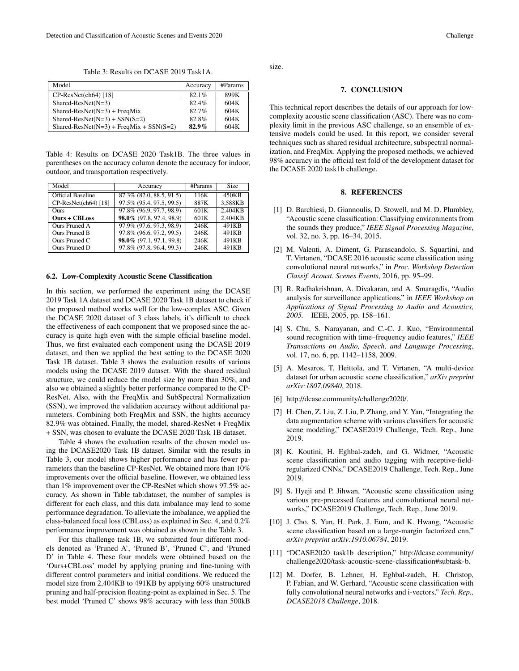Table 3: Results on DCASE 2019 Task1A.

| Model                                     | Accuracy | #params |
|-------------------------------------------|----------|---------|
| $CP-ResNet(ch64)$ [18]                    | $82.1\%$ | 899K    |
| $Shared-ResNet(N=3)$                      | 82.4%    | 604K    |
| $Shared-ResNet(N=3) + FreqMix$            | 82.7%    | 604K    |
| $Shared-ResNet(N=3) + SSN(S=2)$           | 82.8%    | 604K    |
| $Shared-ResNet(N=3) + FredMix + SSN(S=2)$ | $82.9\%$ | 604K    |

Table 4: Results on DCASE 2020 Task1B. The three values in parentheses on the accuracy column denote the accuracy for indoor, outdoor, and transportation respectively.

| Model                    | Accuracy                 | #Params | <b>Size</b> |
|--------------------------|--------------------------|---------|-------------|
| <b>Official Baseline</b> | 87.3% (82.0, 88.5, 91.5) | 116K    | 450KB       |
| $CP-ResNet(ch64)$ [18]   | 97.5% (95.4, 97.5, 99.5) | 887K    | 3.588KB     |
| <b>Ours</b>              | 97.8% (96.9, 97.7, 98.9) | 601K    | 2.404KB     |
| <b>Ours + CBLoss</b>     | 98.0% (97.8, 97.4, 98.9) | 601K    | 2.404KB     |
| Ours Pruned A            | 97.9% (97.6, 97.3, 98.9) | 246K    | 491KB       |
| Ours Pruned B            | 97.8% (96.6, 97.2, 99.5) | 246K    | 491KB       |
| Ours Pruned C            | 98.0% (97.1, 97.1, 99.8) | 246K    | 491KB       |
| Ours Pruned D            | 97.8% (97.8, 96.4, 99.3) | 246K    | 491KB       |

#### 6.2. Low-Complexity Acoustic Scene Classification

In this section, we performed the experiment using the DCASE 2019 Task 1A dataset and DCASE 2020 Task 1B dataset to check if the proposed method works well for the low-complex ASC. Given the DCASE 2020 dataset of 3 class labels, it's difficult to check the effectiveness of each component that we proposed since the accuracy is quite high even with the simple official baseline model. Thus, we first evaluated each component using the DCASE 2019 dataset, and then we applied the best setting to the DCASE 2020 Task 1B dataset. Table 3 shows the evaluation results of various models using the DCASE 2019 dataset. With the shared residual structure, we could reduce the model size by more than 30%, and also we obtained a slightly better performance compared to the CP-ResNet. Also, with the FreqMix and SubSpectral Normalization (SSN), we improved the validation accuracy without additional parameters. Combining both FreqMix and SSN, the hights accuracy 82.9% was obtained. Finally, the model, shared-ResNet + FreqMix + SSN, was chosen to evaluate the DCASE 2020 Task 1B dataset.

Table 4 shows the evaluation results of the chosen model using the DCASE2020 Task 1B dataset. Similar with the results in Table 3, our model shows higher performance and has fewer parameters than the baseline CP-ResNet. We obtained more than 10% improvements over the official baseline. However, we obtained less than 1% improvement over the CP-ResNet which shows 97.5% accuracy. As shown in Table tab:dataset, the number of samples is different for each class, and this data imbalance may lead to some performance degradation. To alleviate the imbalance, we applied the class-balanced focal loss (CBLoss) as explained in Sec. 4, and 0.2% performance improvement was obtained as shown in the Table 3.

For this challenge task 1B, we submitted four different models denoted as 'Pruned A', 'Pruned B', 'Pruned C', and 'Pruned D' in Table 4. These four models were obtained based on the 'Ours+CBLoss' model by applying pruning and fine-tuning with different control parameters and initial conditions. We reduced the model size from 2,404KB to 491KB by applying 60% unstructured pruning and half-precision floating-point as explained in Sec. 5. The best model 'Pruned C' shows 98% accuracy with less than 500kB

size.

### 7. CONCLUSION

This technical report describes the details of our approach for lowcomplexity acoustic scene classification (ASC). There was no complexity limit in the previous ASC challenge, so an ensemble of extensive models could be used. In this report, we consider several techniques such as shared residual architecture, subspectral normalization, and FreqMix. Applying the proposed methods, we achieved 98% accuracy in the official test fold of the development dataset for the DCASE 2020 task1b challenge.

## 8. REFERENCES

- [1] D. Barchiesi, D. Giannoulis, D. Stowell, and M. D. Plumbley, "Acoustic scene classification: Classifying environments from the sounds they produce," *IEEE Signal Processing Magazine*, vol. 32, no. 3, pp. 16–34, 2015.
- [2] M. Valenti, A. Diment, G. Parascandolo, S. Squartini, and T. Virtanen, "DCASE 2016 acoustic scene classification using convolutional neural networks," in *Proc. Workshop Detection Classif. Acoust. Scenes Events*, 2016, pp. 95–99.
- [3] R. Radhakrishnan, A. Divakaran, and A. Smaragdis, "Audio analysis for surveillance applications," in *IEEE Workshop on Applications of Signal Processing to Audio and Acoustics, 2005.* IEEE, 2005, pp. 158–161.
- [4] S. Chu, S. Narayanan, and C.-C. J. Kuo, "Environmental sound recognition with time–frequency audio features," *IEEE Transactions on Audio, Speech, and Language Processing*, vol. 17, no. 6, pp. 1142–1158, 2009.
- [5] A. Mesaros, T. Heittola, and T. Virtanen, "A multi-device dataset for urban acoustic scene classification," *arXiv preprint arXiv:1807.09840*, 2018.
- [6] http://dcase.community/challenge2020/.
- [7] H. Chen, Z. Liu, Z. Liu, P. Zhang, and Y. Yan, "Integrating the data augmentation scheme with various classifiers for acoustic scene modeling," DCASE2019 Challenge, Tech. Rep., June 2019.
- [8] K. Koutini, H. Eghbal-zadeh, and G. Widmer, "Acoustic scene classification and audio tagging with receptive-fieldregularized CNNs," DCASE2019 Challenge, Tech. Rep., June 2019.
- [9] S. Hyeji and P. Jihwan, "Acoustic scene classification using various pre-processed features and convolutional neural networks," DCASE2019 Challenge, Tech. Rep., June 2019.
- [10] J. Cho, S. Yun, H. Park, J. Eum, and K. Hwang, "Acoustic scene classification based on a large-margin factorized cnn," *arXiv preprint arXiv:1910.06784*, 2019.
- [11] "DCASE2020 task1b description," http://dcase.community/ challenge2020/task-acoustic-scene-classification#subtask-b.
- [12] M. Dorfer, B. Lehner, H. Eghbal-zadeh, H. Christop, P. Fabian, and W. Gerhard, "Acoustic scene classification with fully convolutional neural networks and i-vectors," *Tech. Rep., DCASE2018 Challenge*, 2018.